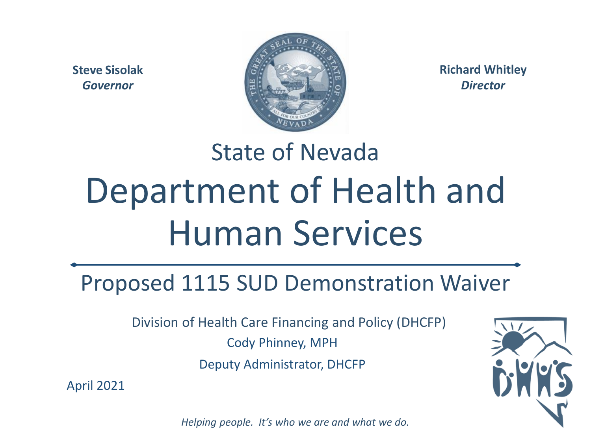**Steve Sisolak** *Governor*



**Richard Whitley** *Director*

# State of Nevada Department of Health and Human Services

#### Proposed 1115 SUD Demonstration Waiver

Division of Health Care Financing and Policy (DHCFP)

Cody Phinney, MPH

Deputy Administrator, DHCFP

April 2021

*Helping people. It's who we are and what we do.*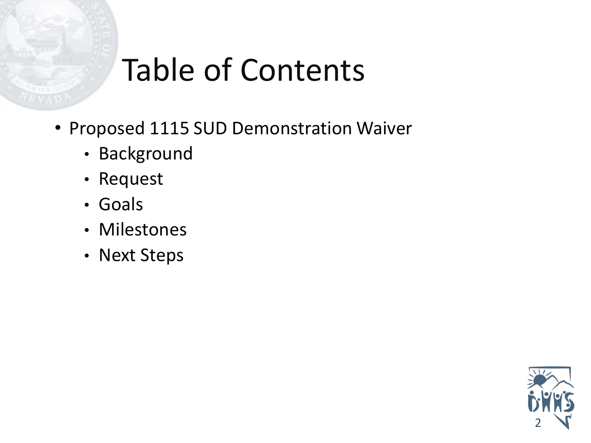#### Table of Contents

- Proposed 1115 SUD Demonstration Waiver
	- Background
	- Request
	- Goals
	- Milestones
	- Next Steps

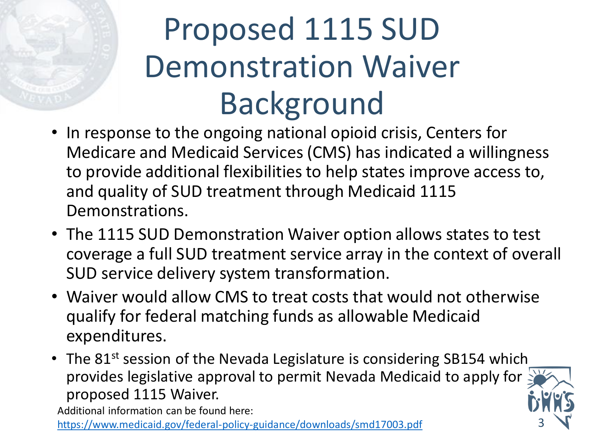## Proposed 1115 SUD Demonstration Waiver Background

- In response to the ongoing national opioid crisis, Centers for Medicare and Medicaid Services (CMS) has indicated a willingness to provide additional flexibilities to help states improve access to, and quality of SUD treatment through Medicaid 1115 Demonstrations.
- The 1115 SUD Demonstration Waiver option allows states to test coverage a full SUD treatment service array in the context of overall SUD service delivery system transformation.
- Waiver would allow CMS to treat costs that would not otherwise qualify for federal matching funds as allowable Medicaid expenditures.
- The 81<sup>st</sup> session of the Nevada Legislature is considering SB154 which provides legislative approval to permit Nevada Medicaid to apply for proposed 1115 Waiver.

Additional information can be found here:

<https://www.medicaid.gov/federal-policy-guidance/downloads/smd17003.pdf> 3

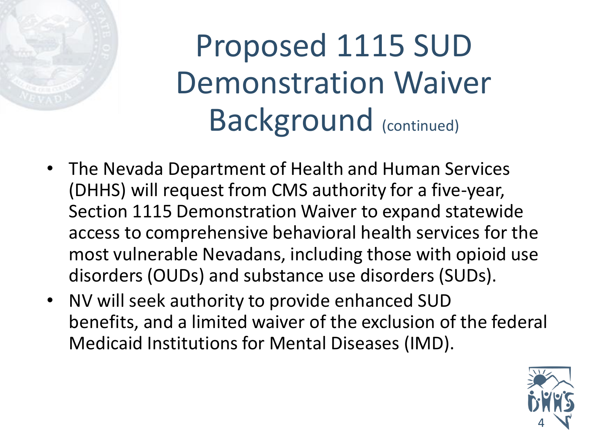## Proposed 1115 SUD Demonstration Waiver Background (continued)

- The Nevada Department of Health and Human Services (DHHS) will request from CMS authority for a five-year, Section 1115 Demonstration Waiver to expand statewide access to comprehensive behavioral health services for the most vulnerable Nevadans, including those with opioid use disorders (OUDs) and substance use disorders (SUDs).
- NV will seek authority to provide enhanced SUD benefits, and a limited waiver of the exclusion of the federal Medicaid Institutions for Mental Diseases (IMD).

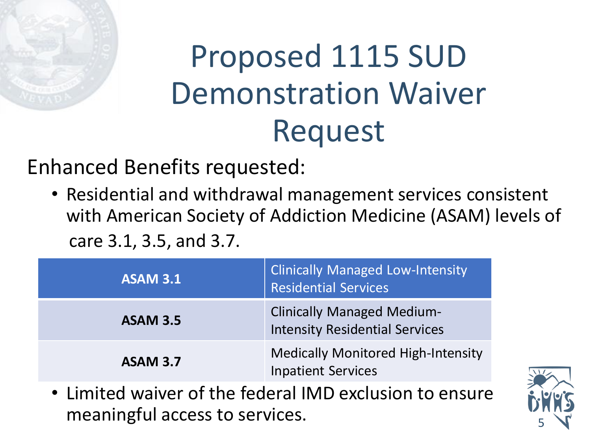

#### Proposed 1115 SUD Demonstration Waiver Request

Enhanced Benefits requested:

• Residential and withdrawal management services consistent with American Society of Addiction Medicine (ASAM) levels of care 3.1, 3.5, and 3.7.

| <b>ASAM 3.1</b> | <b>Clinically Managed Low-Intensity</b><br><b>Residential Services</b>     |
|-----------------|----------------------------------------------------------------------------|
| <b>ASAM 3.5</b> | <b>Clinically Managed Medium-</b><br><b>Intensity Residential Services</b> |
| <b>ASAM 3.7</b> | <b>Medically Monitored High-Intensity</b><br><b>Inpatient Services</b>     |

• Limited waiver of the federal IMD exclusion to ensure meaningful access to services.

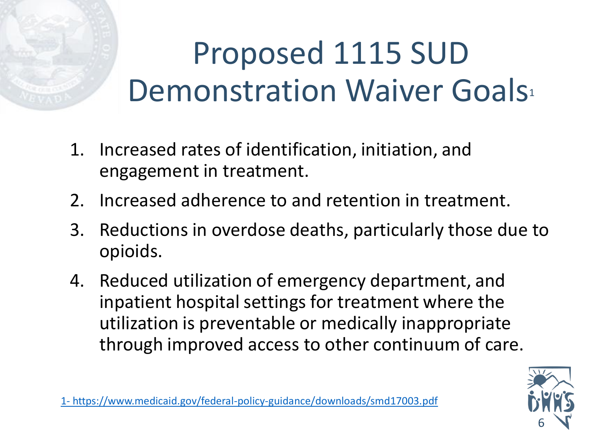## Proposed 1115 SUD Demonstration Waiver Goals

- 1. Increased rates of identification, initiation, and engagement in treatment.
- 2. Increased adherence to and retention in treatment.
- 3. Reductions in overdose deaths, particularly those due to opioids.
- 4. Reduced utilization of emergency department, and inpatient hospital settings for treatment where the utilization is preventable or medically inappropriate through improved access to other continuum of care.



1- <https://www.medicaid.gov/federal-policy-guidance/downloads/smd17003.pdf>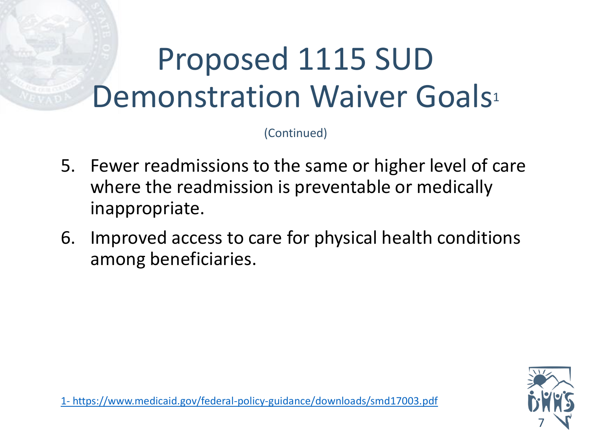#### Proposed 1115 SUD Demonstration Waiver Goals<sup>1</sup>

(Continued)

- 5. Fewer readmissions to the same or higher level of care where the readmission is preventable or medically inappropriate.
- 6. Improved access to care for physical health conditions among beneficiaries.



1- <https://www.medicaid.gov/federal-policy-guidance/downloads/smd17003.pdf>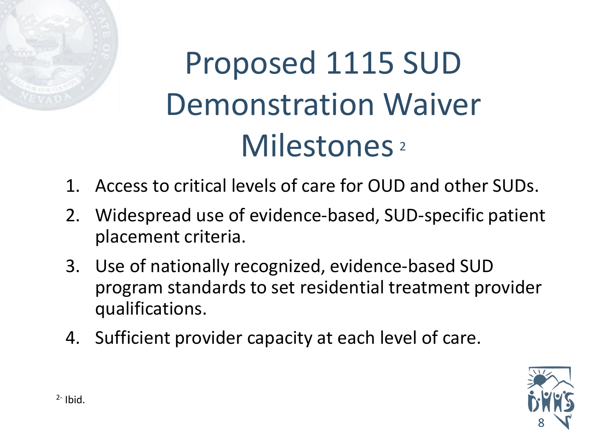

# Proposed 1115 SUD Demonstration Waiver Milestones<sup>2</sup>

- 1. Access to critical levels of care for OUD and other SUDs.
- 2. Widespread use of evidence-based, SUD-specific patient placement criteria.
- 3. Use of nationally recognized, evidence-based SUD program standards to set residential treatment provider qualifications.
- 4. Sufficient provider capacity at each level of care.

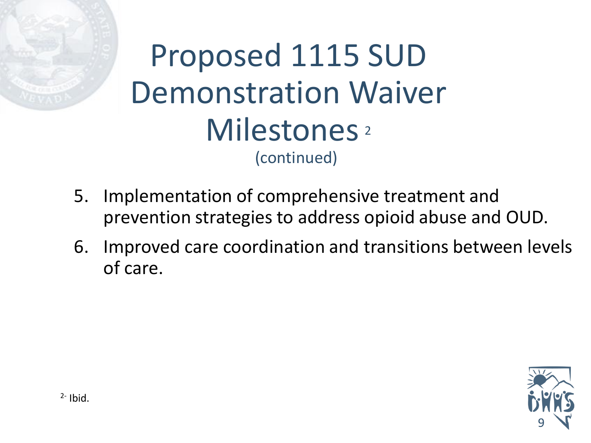

- 5. Implementation of comprehensive treatment and prevention strategies to address opioid abuse and OUD.
- 6. Improved care coordination and transitions between levels of care.

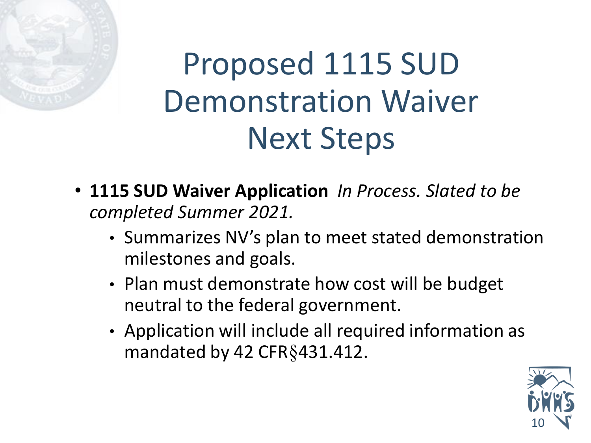

#### Proposed 1115 SUD Demonstration Waiver Next Steps

- **1115 SUD Waiver Application** *In Process. Slated to be completed Summer 2021.*
	- Summarizes NV's plan to meet stated demonstration milestones and goals.
	- Plan must demonstrate how cost will be budget neutral to the federal government.
	- Application will include all required information as mandated by 42 CFR§431.412.